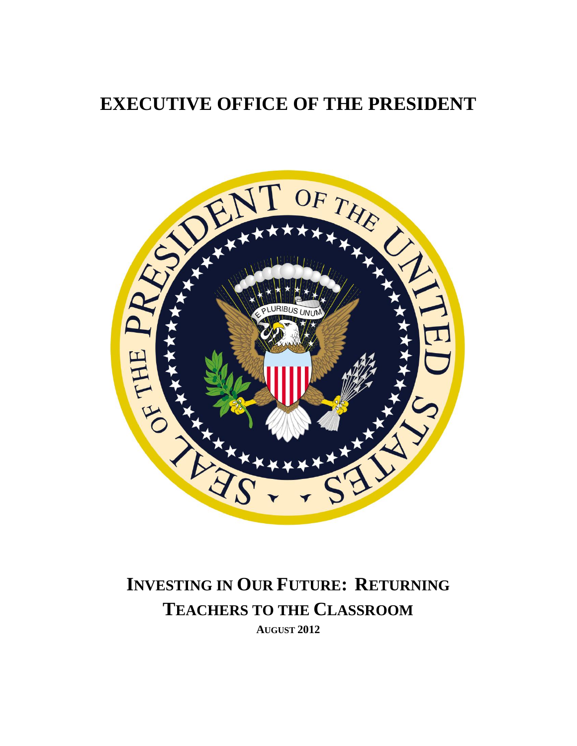# **EXECUTIVE OFFICE OF THE PRESIDENT**



# **INVESTING IN OUR FUTURE: RETURNING TEACHERS TO THE CLASSROOM AUGUST 2012**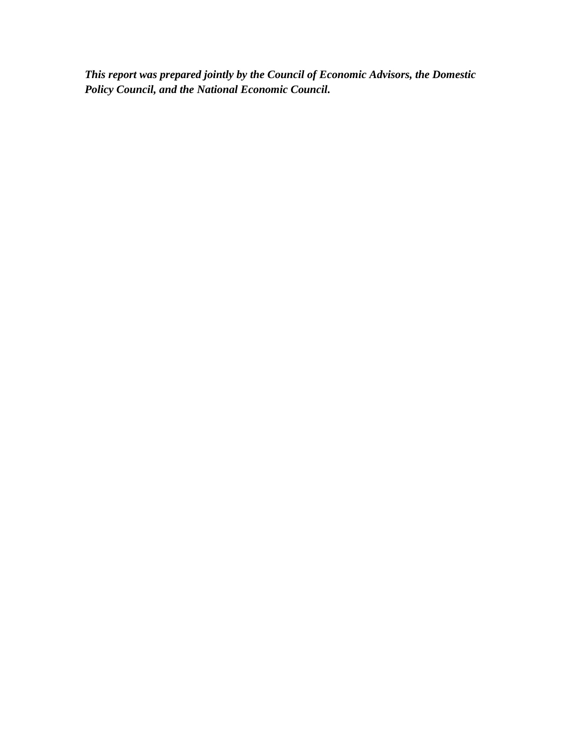*This report was prepared jointly by the Council of Economic Advisors, the Domestic Policy Council, and the National Economic Council.*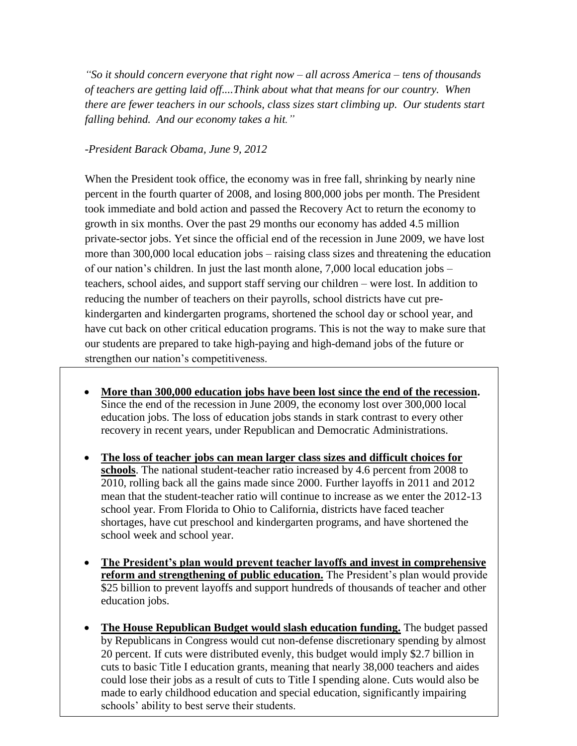*"So it should concern everyone that right now – all across America – tens of thousands of teachers are getting laid off....Think about what that means for our country. When there are fewer teachers in our schools, class sizes start climbing up. Our students start falling behind. And our economy takes a hit."*

#### *-President Barack Obama, June 9, 2012*

When the President took office, the economy was in free fall, shrinking by nearly nine percent in the fourth quarter of 2008, and losing 800,000 jobs per month. The President took immediate and bold action and passed the Recovery Act to return the economy to growth in six months. Over the past 29 months our economy has added 4.5 million private-sector jobs. Yet since the official end of the recession in June 2009, we have lost more than 300,000 local education jobs – raising class sizes and threatening the education of our nation's children. In just the last month alone, 7,000 local education jobs – teachers, school aides, and support staff serving our children – were lost. In addition to reducing the number of teachers on their payrolls, school districts have cut prekindergarten and kindergarten programs, shortened the school day or school year, and have cut back on other critical education programs. This is not the way to make sure that our students are prepared to take high-paying and high-demand jobs of the future or strengthen our nation's competitiveness.

- **More than 300,000 education jobs have been lost since the end of the recession.**  Since the end of the recession in June 2009, the economy lost over 300,000 local education jobs. The loss of education jobs stands in stark contrast to every other recovery in recent years, under Republican and Democratic Administrations.
- **The loss of teacher jobs can mean larger class sizes and difficult choices for schools**. The national student-teacher ratio increased by 4.6 percent from 2008 to 2010, rolling back all the gains made since 2000. Further layoffs in 2011 and 2012 mean that the student-teacher ratio will continue to increase as we enter the 2012-13 school year. From Florida to Ohio to California, districts have faced teacher shortages, have cut preschool and kindergarten programs, and have shortened the school week and school year.
- **The President's plan would prevent teacher layoffs and invest in comprehensive reform and strengthening of public education.** The President's plan would provide \$25 billion to prevent layoffs and support hundreds of thousands of teacher and other education jobs.
- made to early childhood education and special education, significantly impairing **The House Republican Budget would slash education funding.** The budget passed by Republicans in Congress would cut non-defense discretionary spending by almost 20 percent. If cuts were distributed evenly, this budget would imply \$2.7 billion in cuts to basic Title I education grants, meaning that nearly 38,000 teachers and aides could lose their jobs as a result of cuts to Title I spending alone. Cuts would also be schools' ability to best serve their students.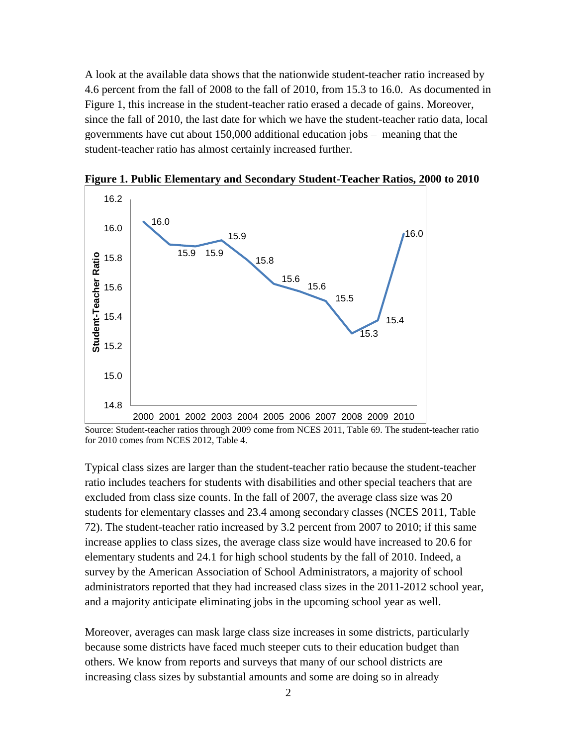A look at the available data shows that the nationwide student-teacher ratio increased by 4.6 percent from the fall of 2008 to the fall of 2010, from 15.3 to 16.0. As documented in Figure 1, this increase in the student-teacher ratio erased a decade of gains. Moreover, since the fall of 2010, the last date for which we have the student-teacher ratio data, local governments have cut about 150,000 additional education jobs – meaning that the student-teacher ratio has almost certainly increased further.



**Figure 1. Public Elementary and Secondary Student-Teacher Ratios, 2000 to 2010**

Source: Student-teacher ratios through 2009 come from NCES 2011, Table 69. The student-teacher ratio for 2010 comes from NCES 2012, Table 4.

Typical class sizes are larger than the student-teacher ratio because the student-teacher ratio includes teachers for students with disabilities and other special teachers that are excluded from class size counts. In the fall of 2007, the average class size was 20 students for elementary classes and 23.4 among secondary classes (NCES 2011, Table 72). The student-teacher ratio increased by 3.2 percent from 2007 to 2010; if this same increase applies to class sizes, the average class size would have increased to 20.6 for elementary students and 24.1 for high school students by the fall of 2010. Indeed, a survey by the American Association of School Administrators, a majority of school administrators reported that they had increased class sizes in the 2011-2012 school year, and a majority anticipate eliminating jobs in the upcoming school year as well.

Moreover, averages can mask large class size increases in some districts, particularly because some districts have faced much steeper cuts to their education budget than others. We know from reports and surveys that many of our school districts are increasing class sizes by substantial amounts and some are doing so in already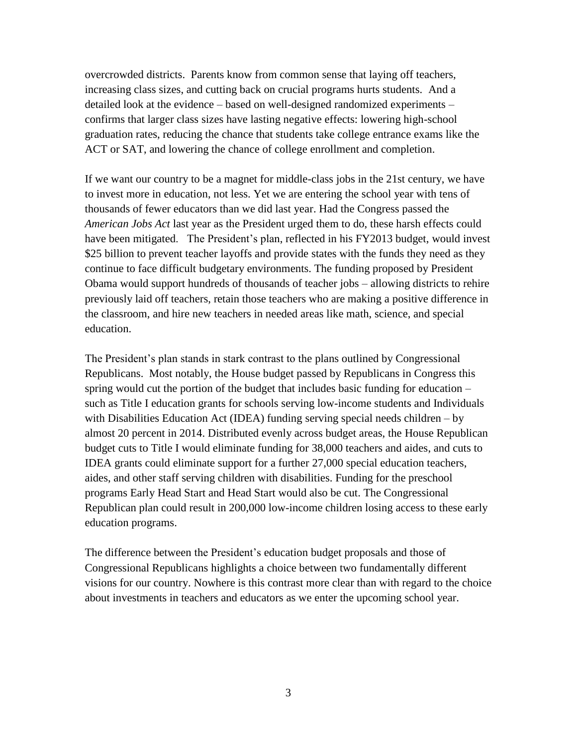overcrowded districts. Parents know from common sense that laying off teachers, increasing class sizes, and cutting back on crucial programs hurts students. And a detailed look at the evidence – based on well-designed randomized experiments – confirms that larger class sizes have lasting negative effects: lowering high-school graduation rates, reducing the chance that students take college entrance exams like the ACT or SAT, and lowering the chance of college enrollment and completion.

If we want our country to be a magnet for middle-class jobs in the 21st century, we have to invest more in education, not less. Yet we are entering the school year with tens of thousands of fewer educators than we did last year. Had the Congress passed the *American Jobs Act* last year as the President urged them to do, these harsh effects could have been mitigated. The President's plan, reflected in his FY2013 budget, would invest \$25 billion to prevent teacher layoffs and provide states with the funds they need as they continue to face difficult budgetary environments. The funding proposed by President Obama would support hundreds of thousands of teacher jobs – allowing districts to rehire previously laid off teachers, retain those teachers who are making a positive difference in the classroom, and hire new teachers in needed areas like math, science, and special education.

The President's plan stands in stark contrast to the plans outlined by Congressional Republicans. Most notably, the House budget passed by Republicans in Congress this spring would cut the portion of the budget that includes basic funding for education – such as Title I education grants for schools serving low-income students and Individuals with Disabilities Education Act (IDEA) funding serving special needs children – by almost 20 percent in 2014. Distributed evenly across budget areas, the House Republican budget cuts to Title I would eliminate funding for 38,000 teachers and aides, and cuts to IDEA grants could eliminate support for a further 27,000 special education teachers, aides, and other staff serving children with disabilities. Funding for the preschool programs Early Head Start and Head Start would also be cut. The Congressional Republican plan could result in 200,000 low-income children losing access to these early education programs.

The difference between the President's education budget proposals and those of Congressional Republicans highlights a choice between two fundamentally different visions for our country. Nowhere is this contrast more clear than with regard to the choice about investments in teachers and educators as we enter the upcoming school year.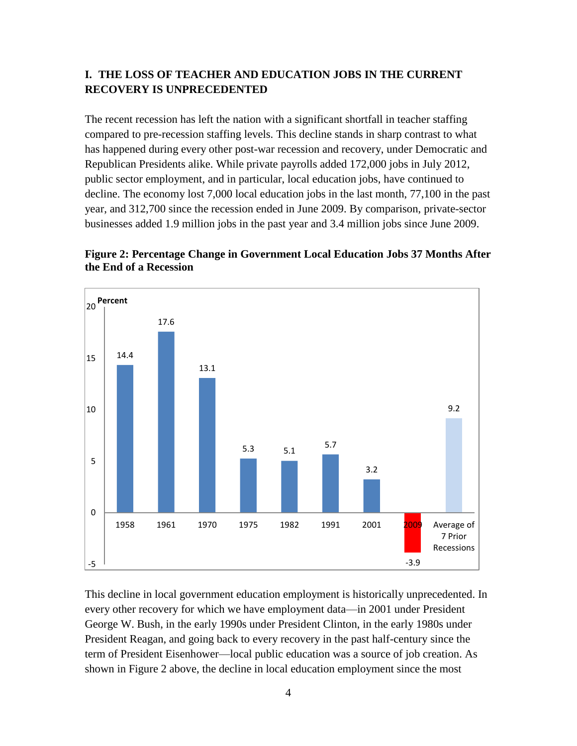#### **I. THE LOSS OF TEACHER AND EDUCATION JOBS IN THE CURRENT RECOVERY IS UNPRECEDENTED**

The recent recession has left the nation with a significant shortfall in teacher staffing compared to pre-recession staffing levels. This decline stands in sharp contrast to what has happened during every other post-war recession and recovery, under Democratic and Republican Presidents alike. While private payrolls added 172,000 jobs in July 2012, public sector employment, and in particular, local education jobs, have continued to decline. The economy lost 7,000 local education jobs in the last month, 77,100 in the past year, and 312,700 since the recession ended in June 2009. By comparison, private-sector businesses added 1.9 million jobs in the past year and 3.4 million jobs since June 2009.



**Figure 2: Percentage Change in Government Local Education Jobs 37 Months After the End of a Recession**

This decline in local government education employment is historically unprecedented. In every other recovery for which we have employment data—in 2001 under President George W. Bush, in the early 1990s under President Clinton, in the early 1980s under President Reagan, and going back to every recovery in the past half-century since the term of President Eisenhower—local public education was a source of job creation. As shown in Figure 2 above, the decline in local education employment since the most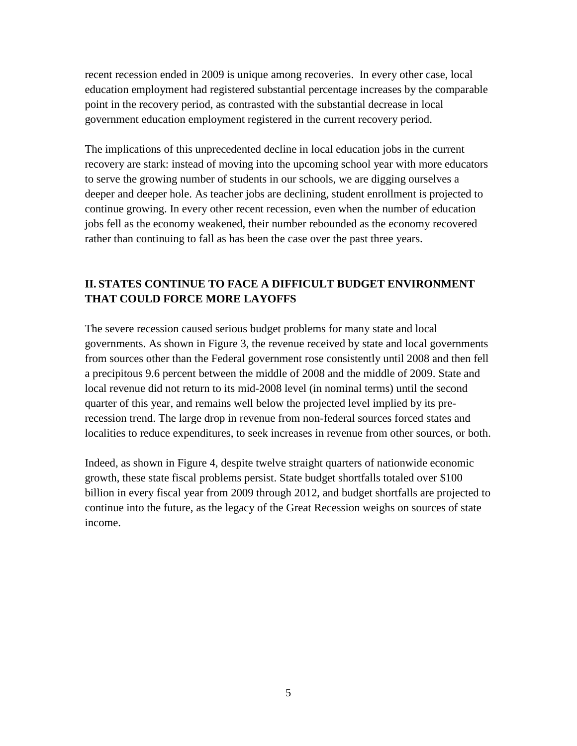recent recession ended in 2009 is unique among recoveries. In every other case, local education employment had registered substantial percentage increases by the comparable point in the recovery period, as contrasted with the substantial decrease in local government education employment registered in the current recovery period.

The implications of this unprecedented decline in local education jobs in the current recovery are stark: instead of moving into the upcoming school year with more educators to serve the growing number of students in our schools, we are digging ourselves a deeper and deeper hole. As teacher jobs are declining, student enrollment is projected to continue growing. In every other recent recession, even when the number of education jobs fell as the economy weakened, their number rebounded as the economy recovered rather than continuing to fall as has been the case over the past three years.

### **II. STATES CONTINUE TO FACE A DIFFICULT BUDGET ENVIRONMENT THAT COULD FORCE MORE LAYOFFS**

The severe recession caused serious budget problems for many state and local governments. As shown in Figure 3, the revenue received by state and local governments from sources other than the Federal government rose consistently until 2008 and then fell a precipitous 9.6 percent between the middle of 2008 and the middle of 2009. State and local revenue did not return to its mid-2008 level (in nominal terms) until the second quarter of this year, and remains well below the projected level implied by its prerecession trend. The large drop in revenue from non-federal sources forced states and localities to reduce expenditures, to seek increases in revenue from other sources, or both.

Indeed, as shown in Figure 4, despite twelve straight quarters of nationwide economic growth, these state fiscal problems persist. State budget shortfalls totaled over \$100 billion in every fiscal year from 2009 through 2012, and budget shortfalls are projected to continue into the future, as the legacy of the Great Recession weighs on sources of state income.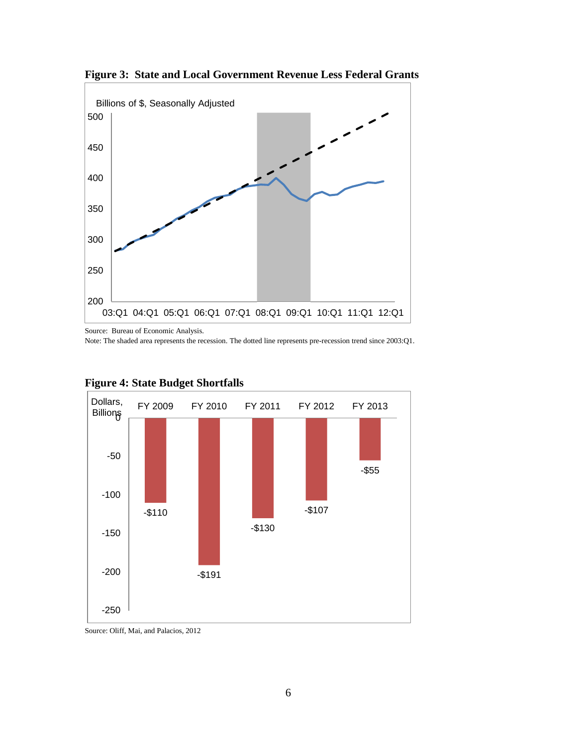

**Figure 3: State and Local Government Revenue Less Federal Grants**

Source: Bureau of Economic Analysis.

Note: The shaded area represents the recession. The dotted line represents pre-recession trend since 2003:Q1.



#### **Figure 4: State Budget Shortfalls**

Source: Oliff, Mai, and Palacios, 2012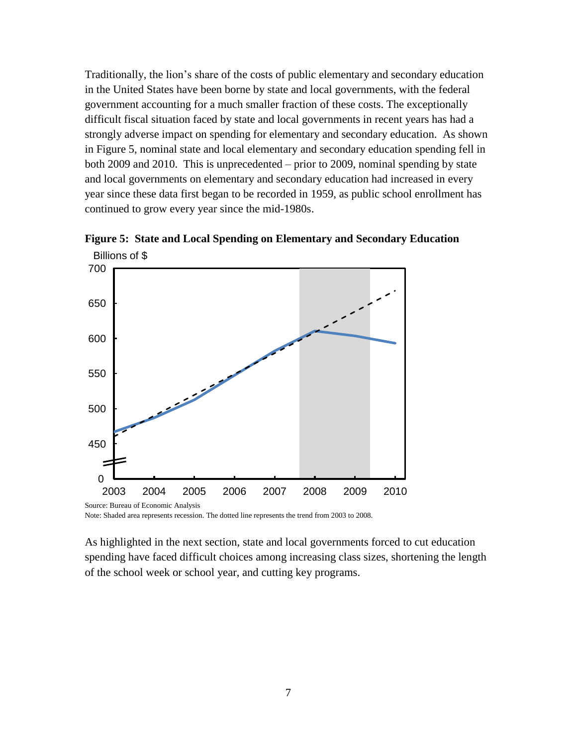Traditionally, the lion's share of the costs of public elementary and secondary education in the United States have been borne by state and local governments, with the federal government accounting for a much smaller fraction of these costs. The exceptionally difficult fiscal situation faced by state and local governments in recent years has had a strongly adverse impact on spending for elementary and secondary education. As shown in Figure 5, nominal state and local elementary and secondary education spending fell in both 2009 and 2010. This is unprecedented – prior to 2009, nominal spending by state and local governments on elementary and secondary education had increased in every year since these data first began to be recorded in 1959, as public school enrollment has continued to grow every year since the mid-1980s.





Note: Shaded area represents recession. The dotted line represents the trend from 2003 to 2008.

As highlighted in the next section, state and local governments forced to cut education spending have faced difficult choices among increasing class sizes, shortening the length of the school week or school year, and cutting key programs.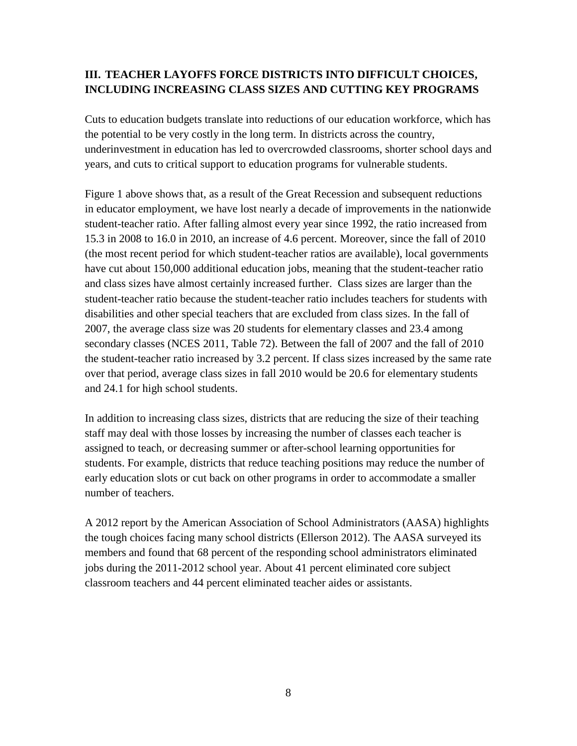# **III. TEACHER LAYOFFS FORCE DISTRICTS INTO DIFFICULT CHOICES, INCLUDING INCREASING CLASS SIZES AND CUTTING KEY PROGRAMS**

Cuts to education budgets translate into reductions of our education workforce, which has the potential to be very costly in the long term. In districts across the country, underinvestment in education has led to overcrowded classrooms, shorter school days and years, and cuts to critical support to education programs for vulnerable students.

Figure 1 above shows that, as a result of the Great Recession and subsequent reductions in educator employment, we have lost nearly a decade of improvements in the nationwide student-teacher ratio. After falling almost every year since 1992, the ratio increased from 15.3 in 2008 to 16.0 in 2010, an increase of 4.6 percent. Moreover, since the fall of 2010 (the most recent period for which student-teacher ratios are available), local governments have cut about 150,000 additional education jobs, meaning that the student-teacher ratio and class sizes have almost certainly increased further. Class sizes are larger than the student-teacher ratio because the student-teacher ratio includes teachers for students with disabilities and other special teachers that are excluded from class sizes. In the fall of 2007, the average class size was 20 students for elementary classes and 23.4 among secondary classes (NCES 2011, Table 72). Between the fall of 2007 and the fall of 2010 the student-teacher ratio increased by 3.2 percent. If class sizes increased by the same rate over that period, average class sizes in fall 2010 would be 20.6 for elementary students and 24.1 for high school students.

In addition to increasing class sizes, districts that are reducing the size of their teaching staff may deal with those losses by increasing the number of classes each teacher is assigned to teach, or decreasing summer or after-school learning opportunities for students. For example, districts that reduce teaching positions may reduce the number of early education slots or cut back on other programs in order to accommodate a smaller number of teachers.

A 2012 report by the American Association of School Administrators (AASA) highlights the tough choices facing many school districts (Ellerson 2012). The AASA surveyed its members and found that 68 percent of the responding school administrators eliminated jobs during the 2011-2012 school year. About 41 percent eliminated core subject classroom teachers and 44 percent eliminated teacher aides or assistants.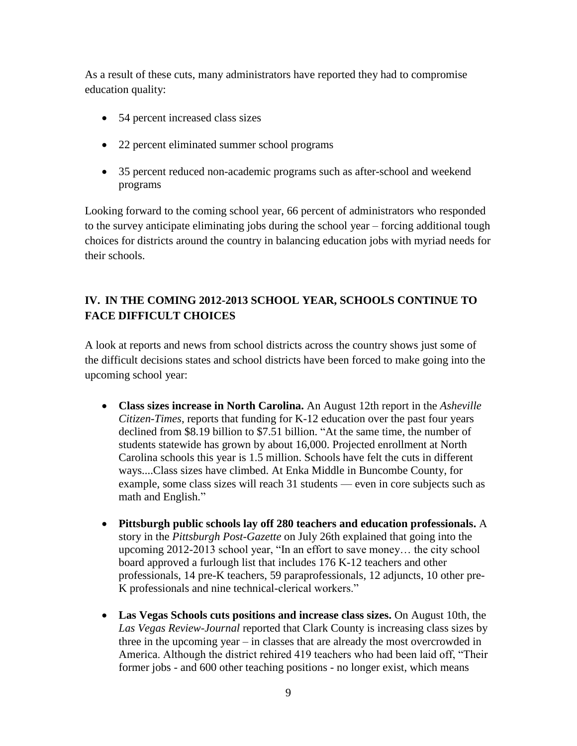As a result of these cuts, many administrators have reported they had to compromise education quality:

- 54 percent increased class sizes
- 22 percent eliminated summer school programs
- 35 percent reduced non-academic programs such as after-school and weekend programs

Looking forward to the coming school year, 66 percent of administrators who responded to the survey anticipate eliminating jobs during the school year – forcing additional tough choices for districts around the country in balancing education jobs with myriad needs for their schools.

# **IV. IN THE COMING 2012-2013 SCHOOL YEAR, SCHOOLS CONTINUE TO FACE DIFFICULT CHOICES**

A look at reports and news from school districts across the country shows just some of the difficult decisions states and school districts have been forced to make going into the upcoming school year:

- **Class sizes increase in North Carolina.** An August 12th report in the *Asheville Citizen-Times*, reports that funding for K-12 education over the past four years declined from \$8.19 billion to \$7.51 billion. "At the same time, the number of students statewide has grown by about 16,000. Projected enrollment at North Carolina schools this year is 1.5 million. Schools have felt the cuts in different ways....Class sizes have climbed. At Enka Middle in Buncombe County, for example, some class sizes will reach 31 students — even in core subjects such as math and English."
- **Pittsburgh public schools lay off 280 teachers and education professionals.** A story in the *Pittsburgh Post-Gazette* on July 26th explained that going into the upcoming 2012-2013 school year, "In an effort to save money… the city school board approved a furlough list that includes 176 K-12 teachers and other professionals, 14 pre-K teachers, 59 paraprofessionals, 12 adjuncts, 10 other pre-K professionals and nine technical-clerical workers."
- **Las Vegas Schools cuts positions and increase class sizes.** On August 10th, the *Las Vegas Review-Journal* reported that Clark County is increasing class sizes by three in the upcoming year – in classes that are already the most overcrowded in America. Although the district rehired 419 teachers who had been laid off, "Their former jobs - and 600 other teaching positions - no longer exist, which means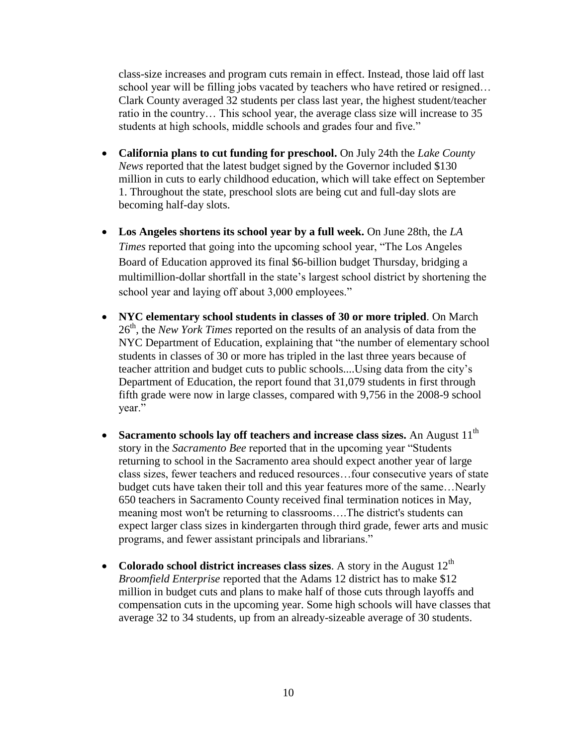class-size increases and program cuts remain in effect. Instead, those laid off last school year will be filling jobs vacated by teachers who have retired or resigned… Clark County averaged 32 students per class last year, the highest student/teacher ratio in the country… This school year, the average class size will increase to 35 students at high schools, middle schools and grades four and five."

- **California plans to cut funding for preschool.** On July 24th the *Lake County News* reported that the latest budget signed by the Governor included \$130 million in cuts to early childhood education, which will take effect on September 1. Throughout the state, preschool slots are being cut and full-day slots are becoming half-day slots.
- **Los Angeles shortens its school year by a full week.** On June 28th, the *LA Times* reported that going into the upcoming school year, "The Los Angeles Board of Education approved its final \$6-billion budget Thursday, bridging a multimillion-dollar shortfall in the state's largest school district by shortening the school year and laying off about 3,000 employees."
- **NYC elementary school students in classes of 30 or more tripled**. On March 26th, the *New York Times* reported on the results of an analysis of data from the NYC Department of Education, explaining that "the number of elementary school students in classes of 30 or more has tripled in the last three years because of teacher attrition and budget cuts to public schools....Using data from the city's Department of Education, the report found that 31,079 students in first through fifth grade were now in large classes, compared with 9,756 in the 2008-9 school year."
- Sacramento schools lay off teachers and increase class sizes. An August 11<sup>th</sup> story in the *Sacramento Bee* reported that in the upcoming year "Students returning to school in the Sacramento area should expect another year of large class sizes, fewer teachers and reduced resources…four consecutive years of state budget cuts have taken their toll and this year features more of the same…Nearly 650 teachers in Sacramento County received final termination notices in May, meaning most won't be returning to classrooms….The district's students can expect larger class sizes in kindergarten through third grade, fewer arts and music programs, and fewer assistant principals and librarians."
- Colorado school district increases class sizes. A story in the August  $12<sup>th</sup>$ *Broomfield Enterprise* reported that the Adams 12 district has to make \$12 million in budget cuts and plans to make half of those cuts through layoffs and compensation cuts in the upcoming year. Some high schools will have classes that average 32 to 34 students, up from an already-sizeable average of 30 students.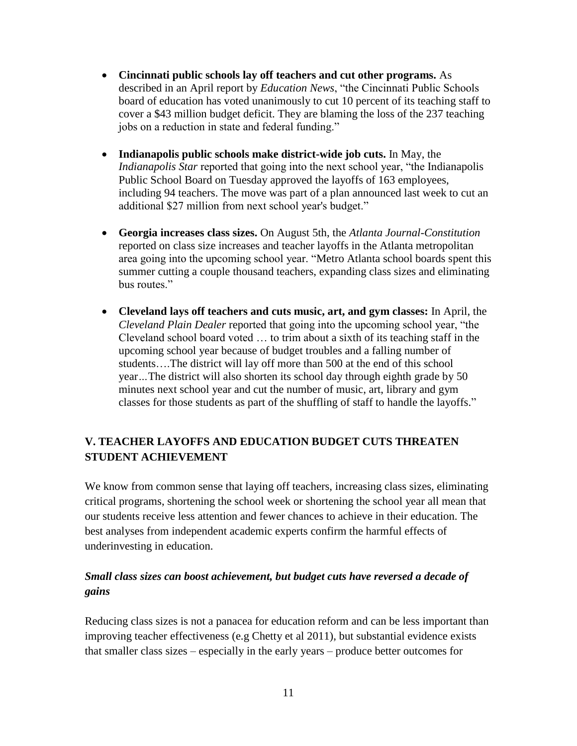- **Cincinnati public schools lay off teachers and cut other programs.** As described in an April report by *Education News*, "the Cincinnati Public Schools board of education has voted unanimously to cut 10 percent of its teaching staff to cover a \$43 million budget deficit. They are blaming the loss of the 237 teaching jobs on a reduction in state and federal funding."
- **Indianapolis public schools make district-wide job cuts.** In May, the *Indianapolis Star* reported that going into the next school year, "the Indianapolis Public School Board on Tuesday approved the layoffs of 163 employees, including 94 teachers. The move was part of a plan announced last week to cut an additional \$27 million from next school year's budget."
- **Georgia increases class sizes.** On August 5th, the *Atlanta Journal-Constitution* reported on class size increases and teacher layoffs in the Atlanta metropolitan area going into the upcoming school year. "Metro Atlanta school boards spent this summer cutting a couple thousand teachers, expanding class sizes and eliminating bus routes."
- **Cleveland lays off teachers and cuts music, art, and gym classes:** In April, the *Cleveland Plain Dealer* reported that going into the upcoming school year, "the Cleveland school board voted … to trim about a sixth of its teaching staff in the upcoming school year because of budget troubles and a falling number of students….The district will lay off more than 500 at the end of this school year*…*The district will also shorten its school day through eighth grade by 50 minutes next school year and cut the number of music, art, library and gym classes for those students as part of the shuffling of staff to handle the layoffs."

# **V. TEACHER LAYOFFS AND EDUCATION BUDGET CUTS THREATEN STUDENT ACHIEVEMENT**

We know from common sense that laying off teachers, increasing class sizes, eliminating critical programs, shortening the school week or shortening the school year all mean that our students receive less attention and fewer chances to achieve in their education. The best analyses from independent academic experts confirm the harmful effects of underinvesting in education.

# *Small class sizes can boost achievement, but budget cuts have reversed a decade of gains*

Reducing class sizes is not a panacea for education reform and can be less important than improving teacher effectiveness (e.g Chetty et al 2011), but substantial evidence exists that smaller class sizes – especially in the early years – produce better outcomes for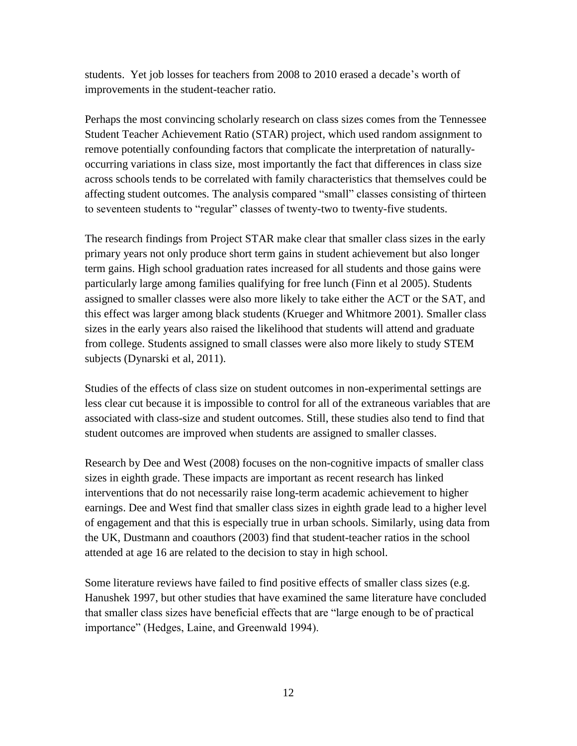students. Yet job losses for teachers from 2008 to 2010 erased a decade's worth of improvements in the student-teacher ratio.

Perhaps the most convincing scholarly research on class sizes comes from the Tennessee Student Teacher Achievement Ratio (STAR) project, which used random assignment to remove potentially confounding factors that complicate the interpretation of naturallyoccurring variations in class size, most importantly the fact that differences in class size across schools tends to be correlated with family characteristics that themselves could be affecting student outcomes. The analysis compared "small" classes consisting of thirteen to seventeen students to "regular" classes of twenty-two to twenty-five students.

The research findings from Project STAR make clear that smaller class sizes in the early primary years not only produce short term gains in student achievement but also longer term gains. High school graduation rates increased for all students and those gains were particularly large among families qualifying for free lunch (Finn et al 2005). Students assigned to smaller classes were also more likely to take either the ACT or the SAT, and this effect was larger among black students (Krueger and Whitmore 2001). Smaller class sizes in the early years also raised the likelihood that students will attend and graduate from college. Students assigned to small classes were also more likely to study STEM subjects (Dynarski et al, 2011).

Studies of the effects of class size on student outcomes in non-experimental settings are less clear cut because it is impossible to control for all of the extraneous variables that are associated with class-size and student outcomes. Still, these studies also tend to find that student outcomes are improved when students are assigned to smaller classes.

Research by Dee and West (2008) focuses on the non-cognitive impacts of smaller class sizes in eighth grade. These impacts are important as recent research has linked interventions that do not necessarily raise long-term academic achievement to higher earnings. Dee and West find that smaller class sizes in eighth grade lead to a higher level of engagement and that this is especially true in urban schools. Similarly, using data from the UK, Dustmann and coauthors (2003) find that student-teacher ratios in the school attended at age 16 are related to the decision to stay in high school.

Some literature reviews have failed to find positive effects of smaller class sizes (e.g. Hanushek 1997, but other studies that have examined the same literature have concluded that smaller class sizes have beneficial effects that are "large enough to be of practical importance" (Hedges, Laine, and Greenwald 1994).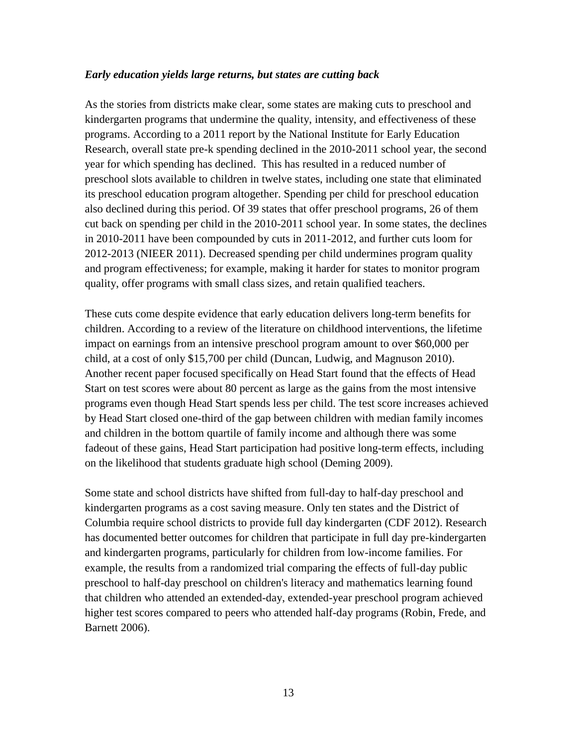#### *Early education yields large returns, but states are cutting back*

As the stories from districts make clear, some states are making cuts to preschool and kindergarten programs that undermine the quality, intensity, and effectiveness of these programs. According to a 2011 report by the National Institute for Early Education Research, overall state pre-k spending declined in the 2010-2011 school year, the second year for which spending has declined. This has resulted in a reduced number of preschool slots available to children in twelve states, including one state that eliminated its preschool education program altogether. Spending per child for preschool education also declined during this period. Of 39 states that offer preschool programs, 26 of them cut back on spending per child in the 2010-2011 school year. In some states, the declines in 2010-2011 have been compounded by cuts in 2011-2012, and further cuts loom for 2012-2013 (NIEER 2011). Decreased spending per child undermines program quality and program effectiveness; for example, making it harder for states to monitor program quality, offer programs with small class sizes, and retain qualified teachers.

These cuts come despite evidence that early education delivers long-term benefits for children. According to a review of the literature on childhood interventions, the lifetime impact on earnings from an intensive preschool program amount to over \$60,000 per child, at a cost of only \$15,700 per child (Duncan, Ludwig, and Magnuson 2010). Another recent paper focused specifically on Head Start found that the effects of Head Start on test scores were about 80 percent as large as the gains from the most intensive programs even though Head Start spends less per child. The test score increases achieved by Head Start closed one-third of the gap between children with median family incomes and children in the bottom quartile of family income and although there was some fadeout of these gains, Head Start participation had positive long-term effects, including on the likelihood that students graduate high school (Deming 2009).

Some state and school districts have shifted from full-day to half-day preschool and kindergarten programs as a cost saving measure. Only ten states and the District of Columbia require school districts to provide full day kindergarten (CDF 2012). Research has documented better outcomes for children that participate in full day pre-kindergarten and kindergarten programs, particularly for children from low-income families. For example, the results from a randomized trial comparing the effects of full-day public preschool to half-day preschool on children's literacy and mathematics learning found that children who attended an extended-day, extended-year preschool program achieved higher test scores compared to peers who attended half-day programs (Robin, Frede, and Barnett 2006).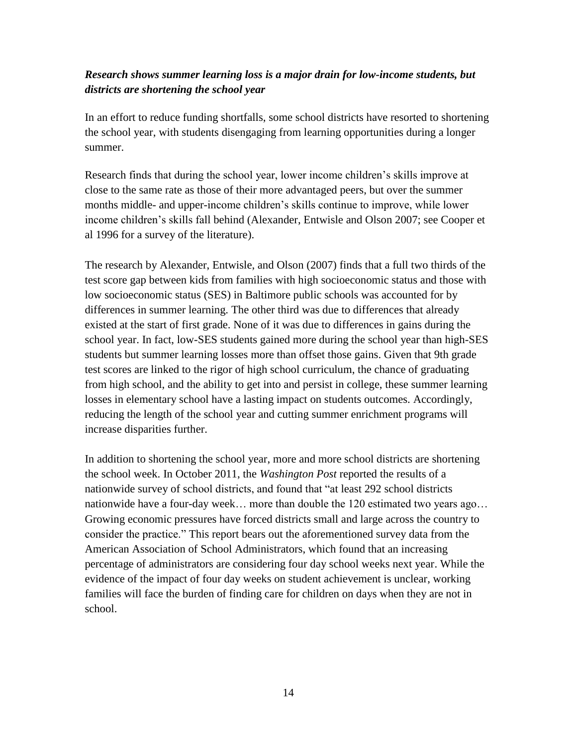### *Research shows summer learning loss is a major drain for low-income students, but districts are shortening the school year*

In an effort to reduce funding shortfalls, some school districts have resorted to shortening the school year, with students disengaging from learning opportunities during a longer summer.

Research finds that during the school year, lower income children's skills improve at close to the same rate as those of their more advantaged peers, but over the summer months middle- and upper-income children's skills continue to improve, while lower income children's skills fall behind (Alexander, Entwisle and Olson 2007; see Cooper et al 1996 for a survey of the literature).

The research by Alexander, Entwisle, and Olson (2007) finds that a full two thirds of the test score gap between kids from families with high socioeconomic status and those with low socioeconomic status (SES) in Baltimore public schools was accounted for by differences in summer learning. The other third was due to differences that already existed at the start of first grade. None of it was due to differences in gains during the school year. In fact, low-SES students gained more during the school year than high-SES students but summer learning losses more than offset those gains. Given that 9th grade test scores are linked to the rigor of high school curriculum, the chance of graduating from high school, and the ability to get into and persist in college, these summer learning losses in elementary school have a lasting impact on students outcomes. Accordingly, reducing the length of the school year and cutting summer enrichment programs will increase disparities further.

In addition to shortening the school year, more and more school districts are shortening the school week. In October 2011, the *Washington Post* reported the results of a nationwide survey of school districts, and found that "at least 292 school districts nationwide have a four-day week… more than double the 120 estimated two years ago… Growing economic pressures have forced districts small and large across the country to consider the practice." This report bears out the aforementioned survey data from the American Association of School Administrators, which found that an increasing percentage of administrators are considering four day school weeks next year. While the evidence of the impact of four day weeks on student achievement is unclear, working families will face the burden of finding care for children on days when they are not in school.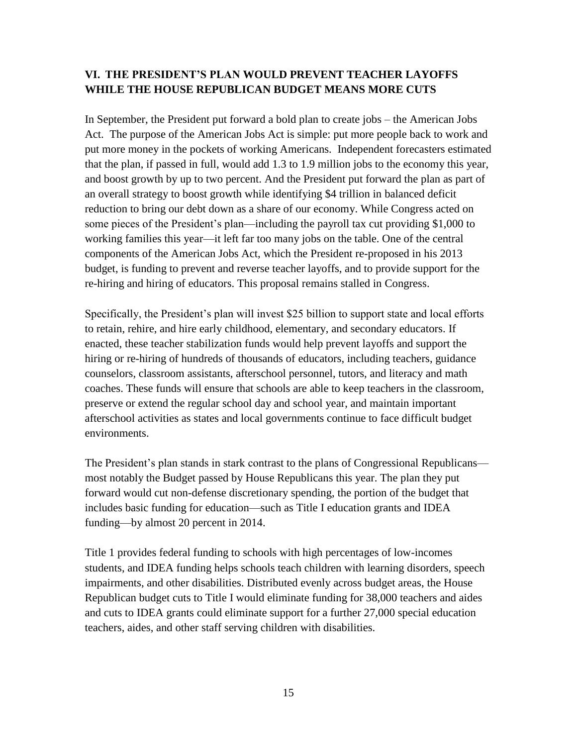### **VI. THE PRESIDENT'S PLAN WOULD PREVENT TEACHER LAYOFFS WHILE THE HOUSE REPUBLICAN BUDGET MEANS MORE CUTS**

In September, the President put forward a bold plan to create jobs – the American Jobs Act. The purpose of the American Jobs Act is simple: put more people back to work and put more money in the pockets of working Americans. Independent forecasters estimated that the plan, if passed in full, would add 1.3 to 1.9 million jobs to the economy this year, and boost growth by up to two percent. And the President put forward the plan as part of an overall strategy to boost growth while identifying \$4 trillion in balanced deficit reduction to bring our debt down as a share of our economy. While Congress acted on some pieces of the President's plan—including the payroll tax cut providing \$1,000 to working families this year—it left far too many jobs on the table. One of the central components of the American Jobs Act, which the President re-proposed in his 2013 budget, is funding to prevent and reverse teacher layoffs, and to provide support for the re-hiring and hiring of educators. This proposal remains stalled in Congress.

Specifically, the President's plan will invest \$25 billion to support state and local efforts to retain, rehire, and hire early childhood, elementary, and secondary educators. If enacted, these teacher stabilization funds would help prevent layoffs and support the hiring or re-hiring of hundreds of thousands of educators, including teachers, guidance counselors, classroom assistants, afterschool personnel, tutors, and literacy and math coaches. These funds will ensure that schools are able to keep teachers in the classroom, preserve or extend the regular school day and school year, and maintain important afterschool activities as states and local governments continue to face difficult budget environments.

The President's plan stands in stark contrast to the plans of Congressional Republicans most notably the Budget passed by House Republicans this year. The plan they put forward would cut non-defense discretionary spending, the portion of the budget that includes basic funding for education—such as Title I education grants and IDEA funding—by almost 20 percent in 2014.

Title 1 provides federal funding to schools with high percentages of low-incomes students, and IDEA funding helps schools teach children with learning disorders, speech impairments, and other disabilities. Distributed evenly across budget areas, the House Republican budget cuts to Title I would eliminate funding for 38,000 teachers and aides and cuts to IDEA grants could eliminate support for a further 27,000 special education teachers, aides, and other staff serving children with disabilities.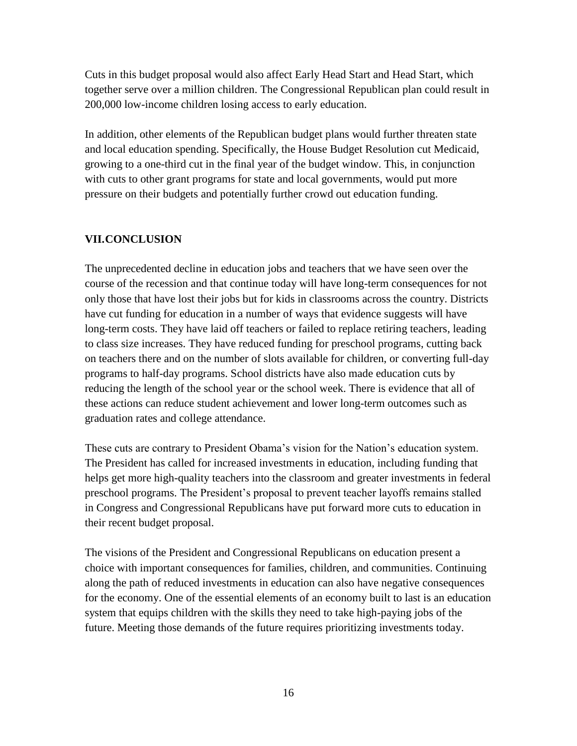Cuts in this budget proposal would also affect Early Head Start and Head Start, which together serve over a million children. The Congressional Republican plan could result in 200,000 low-income children losing access to early education.

In addition, other elements of the Republican budget plans would further threaten state and local education spending. Specifically, the House Budget Resolution cut Medicaid, growing to a one-third cut in the final year of the budget window. This, in conjunction with cuts to other grant programs for state and local governments, would put more pressure on their budgets and potentially further crowd out education funding.

#### **VII.CONCLUSION**

The unprecedented decline in education jobs and teachers that we have seen over the course of the recession and that continue today will have long-term consequences for not only those that have lost their jobs but for kids in classrooms across the country. Districts have cut funding for education in a number of ways that evidence suggests will have long-term costs. They have laid off teachers or failed to replace retiring teachers, leading to class size increases. They have reduced funding for preschool programs, cutting back on teachers there and on the number of slots available for children, or converting full-day programs to half-day programs. School districts have also made education cuts by reducing the length of the school year or the school week. There is evidence that all of these actions can reduce student achievement and lower long-term outcomes such as graduation rates and college attendance.

These cuts are contrary to President Obama's vision for the Nation's education system. The President has called for increased investments in education, including funding that helps get more high-quality teachers into the classroom and greater investments in federal preschool programs. The President's proposal to prevent teacher layoffs remains stalled in Congress and Congressional Republicans have put forward more cuts to education in their recent budget proposal.

The visions of the President and Congressional Republicans on education present a choice with important consequences for families, children, and communities. Continuing along the path of reduced investments in education can also have negative consequences for the economy. One of the essential elements of an economy built to last is an education system that equips children with the skills they need to take high-paying jobs of the future. Meeting those demands of the future requires prioritizing investments today.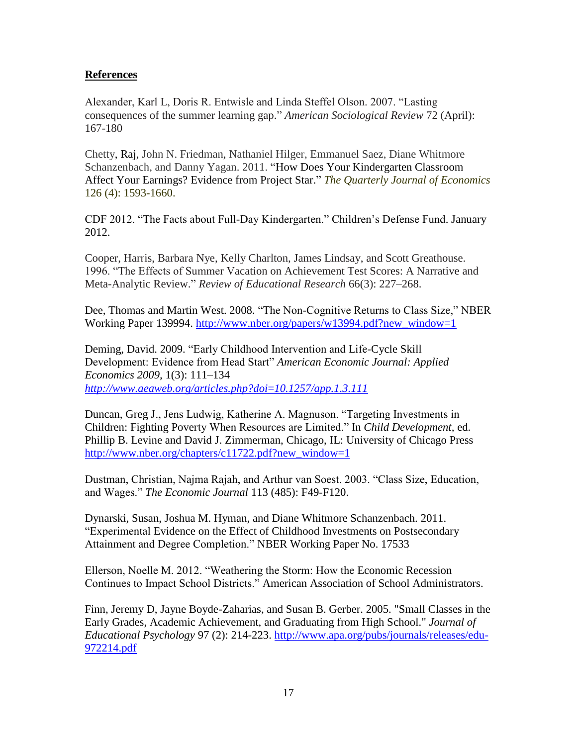#### **References**

Alexander, Karl L, Doris R. Entwisle and Linda Steffel Olson. 2007. "Lasting consequences of the summer learning gap." *American Sociological Review* 72 (April): 167-180

[Chetty,](http://qje.oxfordjournals.org/search?author1=Raj+Chetty&sortspec=date&submit=Submit) Raj, [John N. Friedman,](http://qje.oxfordjournals.org/search?author1=John+N.+Friedman&sortspec=date&submit=Submit) [Nathaniel Hilger,](http://qje.oxfordjournals.org/search?author1=Nathaniel+Hilger&sortspec=date&submit=Submit) [Emmanuel Saez,](http://qje.oxfordjournals.org/search?author1=Emmanuel+Saez&sortspec=date&submit=Submit) [Diane Whitmore](http://qje.oxfordjournals.org/search?author1=Diane+Whitmore+Schanzenbach&sortspec=date&submit=Submit)  [Schanzenbach,](http://qje.oxfordjournals.org/search?author1=Diane+Whitmore+Schanzenbach&sortspec=date&submit=Submit) and [Danny Yagan.](http://qje.oxfordjournals.org/search?author1=Danny+Yagan&sortspec=date&submit=Submit) 2011. "How Does Your Kindergarten Classroom Affect Your Earnings? Evidence from Project Star." *The Quarterly Journal of Economics* 126 (4): 1593-1660.

CDF 2012. "The Facts about Full-Day Kindergarten." Children's Defense Fund. January 2012.

Cooper, Harris, Barbara Nye, Kelly Charlton, James Lindsay, and Scott Greathouse. 1996. "The Effects of Summer Vacation on Achievement Test Scores: A Narrative and Meta-Analytic Review." *Review of Educational Research* 66(3): 227–268.

Dee, Thomas and Martin West. 2008. "The Non-Cognitive Returns to Class Size," NBER Working Paper 139994. [http://www.nber.org/papers/w13994.pdf?new\\_window=1](http://www.nber.org/papers/w13994.pdf?new_window=1)

Deming, David. 2009. "Early Childhood Intervention and Life-Cycle Skill Development: Evidence from Head Start" *American Economic Journal: Applied Economics 2009,* 1(3): 111–134 *[http://www.aeaweb.org/articles.php?doi](http://www.aeaweb.org/articles.php?doi=10.1257/app.1.3.111)*=*10.1257/app.1.3.111*

Duncan, Greg J., Jens Ludwig, Katherine A. Magnuson. "Targeting Investments in Children: Fighting Poverty When Resources are Limited." In *Child Development,* ed. Phillip B. Levine and David J. Zimmerman, Chicago, IL: University of Chicago Press [http://www.nber.org/chapters/c11722.pdf?new\\_window=1](http://www.nber.org/chapters/c11722.pdf?new_window=1)

Dustman, Christian, Najma Rajah, and Arthur van Soest. 2003. "Class Size, Education, and Wages." *The Economic Journal* 113 (485): F49-F120.

Dynarski, Susan, Joshua M. Hyman, and Diane Whitmore Schanzenbach. 2011. "Experimental Evidence on the Effect of Childhood Investments on Postsecondary Attainment and Degree Completion." NBER Working Paper No. 17533

Ellerson, Noelle M. 2012. "Weathering the Storm: How the Economic Recession Continues to Impact School Districts." American Association of School Administrators.

Finn, Jeremy D, Jayne Boyde-Zaharias, and Susan B. Gerber. 2005. "Small Classes in the Early Grades, Academic Achievement, and Graduating from High School." *Journal of Educational Psychology* 97 (2): 214-223. [http://www.apa.org/pubs/journals/releases/edu-](http://www.apa.org/pubs/journals/releases/edu-972214.pdf)[972214.pdf](http://www.apa.org/pubs/journals/releases/edu-972214.pdf)